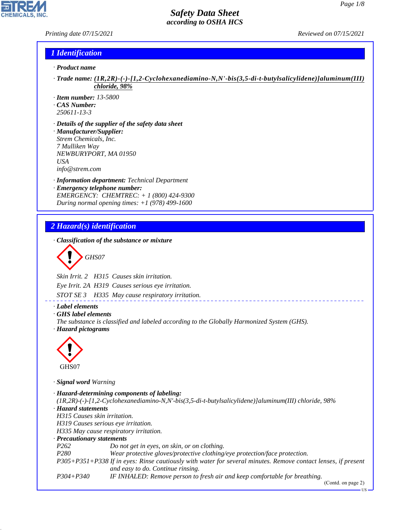*Printing date 07/15/2021 Reviewed on 07/15/2021*

#### *1 Identification*

- *· Product name*
- *· Trade name: (1R,2R)-(-)-[1,2-Cyclohexanediamino-N,N'-bis(3,5-di-t-butylsalicylidene)]aluminum(III) chloride, 98%*
- *· Item number: 13-5800*
- *· CAS Number:*
- *250611-13-3*
- *· Details of the supplier of the safety data sheet · Manufacturer/Supplier: Strem Chemicals, Inc. 7 Mulliken Way NEWBURYPORT, MA 01950 USA info@strem.com*
- *· Information department: Technical Department · Emergency telephone number: EMERGENCY: CHEMTREC: + 1 (800) 424-9300 During normal opening times: +1 (978) 499-1600*

### *2 Hazard(s) identification*

*· Classification of the substance or mixture*

$$
\left\langle \begin{array}{c}\n\end{array}\right\rangle
$$
 GHSO7

*Skin Irrit. 2 H315 Causes skin irritation.*

*Eye Irrit. 2A H319 Causes serious eye irritation.*

*STOT SE 3 H335 May cause respiratory irritation.*

#### *· Label elements*

- *· GHS label elements*
- *The substance is classified and labeled according to the Globally Harmonized System (GHS). · Hazard pictograms*



44.1.1

*· Signal word Warning*

```
· Hazard-determining components of labeling:
(1R,2R)-(-)-[1,2-Cyclohexanediamino-N,N'-bis(3,5-di-t-butylsalicylidene)]aluminum(III) chloride, 98%
· Hazard statements
H315 Causes skin irritation.
H319 Causes serious eye irritation.
H335 May cause respiratory irritation.
· Precautionary statements
P262 Do not get in eyes, on skin, or on clothing.
P280 Wear protective gloves/protective clothing/eye protection/face protection.
P305+P351+P338 If in eyes: Rinse cautiously with water for several minutes. Remove contact lenses, if present
                   and easy to do. Continue rinsing.
P304+P340 IF INHALED: Remove person to fresh air and keep comfortable for breathing.
```
(Contd. on page 2)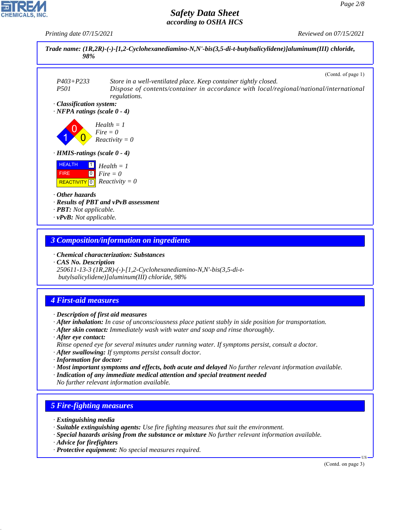*Printing date 07/15/2021 Reviewed on 07/15/2021*



#### *3 Composition/information on ingredients*

*· Chemical characterization: Substances*

*· CAS No. Description*

*250611-13-3 (1R,2R)-(-)-[1,2-Cyclohexanediamino-N,N'-bis(3,5-di-t butylsalicylidene)]aluminum(III) chloride, 98%*

# *4 First-aid measures*

*· Description of first aid measures*

- *· After inhalation: In case of unconsciousness place patient stably in side position for transportation.*
- *· After skin contact: Immediately wash with water and soap and rinse thoroughly.*
- *· After eye contact:*

*Rinse opened eye for several minutes under running water. If symptoms persist, consult a doctor.*

- *· After swallowing: If symptoms persist consult doctor.*
- *· Information for doctor:*
- *· Most important symptoms and effects, both acute and delayed No further relevant information available.*
- *· Indication of any immediate medical attention and special treatment needed No further relevant information available.*

# *5 Fire-fighting measures*

- *· Extinguishing media*
- *· Suitable extinguishing agents: Use fire fighting measures that suit the environment.*
- *· Special hazards arising from the substance or mixture No further relevant information available.*
- *· Advice for firefighters*

44.1.1

*· Protective equipment: No special measures required.*

(Contd. on page 3)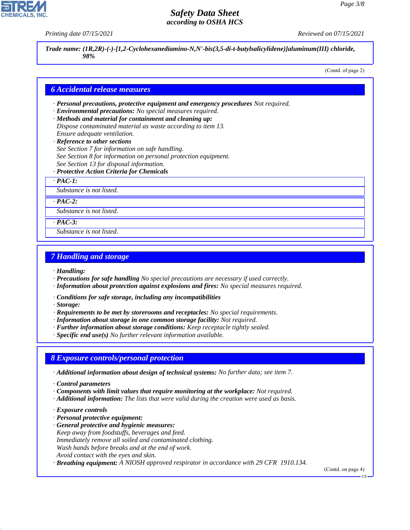*Printing date 07/15/2021 Reviewed on 07/15/2021*

*Trade name: (1R,2R)-(-)-[1,2-Cyclohexanediamino-N,N'-bis(3,5-di-t-butylsalicylidene)]aluminum(III) chloride, 98%*

(Contd. of page 2)

#### *6 Accidental release measures*

- *· Personal precautions, protective equipment and emergency procedures Not required.*
- *· Environmental precautions: No special measures required.*
- *· Methods and material for containment and cleaning up: Dispose contaminated material as waste according to item 13. Ensure adequate ventilation.*

#### *· Reference to other sections*

- *See Section 7 for information on safe handling.*
- *See Section 8 for information on personal protection equipment.*
- *See Section 13 for disposal information.*
- *· Protective Action Criteria for Chemicals*
- *· PAC-1:*

*Substance is not listed.*

#### *· PAC-2:*

*Substance is not listed.*

*· PAC-3:*

*Substance is not listed.*

### *7 Handling and storage*

- *· Handling:*
- *· Precautions for safe handling No special precautions are necessary if used correctly.*
- *· Information about protection against explosions and fires: No special measures required.*
- *· Conditions for safe storage, including any incompatibilities*
- *· Storage:*
- *· Requirements to be met by storerooms and receptacles: No special requirements.*
- *· Information about storage in one common storage facility: Not required.*
- *· Further information about storage conditions: Keep receptacle tightly sealed.*
- *· Specific end use(s) No further relevant information available.*

#### *8 Exposure controls/personal protection*

- *· Additional information about design of technical systems: No further data; see item 7.*
- *· Control parameters*
- *· Components with limit values that require monitoring at the workplace: Not required.*
- *· Additional information: The lists that were valid during the creation were used as basis.*
- *· Exposure controls*

44.1.1

- *· Personal protective equipment:*
- *· General protective and hygienic measures: Keep away from foodstuffs, beverages and feed. Immediately remove all soiled and contaminated clothing. Wash hands before breaks and at the end of work. Avoid contact with the eyes and skin.*
- *· Breathing equipment: A NIOSH approved respirator in accordance with 29 CFR 1910.134.*

(Contd. on page 4)

US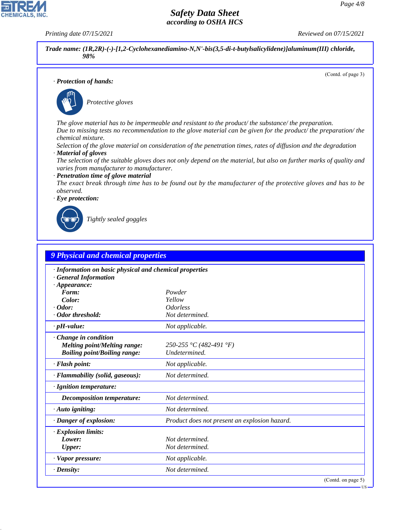**CHEMICALS, INC** 

*Printing date 07/15/2021 Reviewed on 07/15/2021*

*Trade name: (1R,2R)-(-)-[1,2-Cyclohexanediamino-N,N'-bis(3,5-di-t-butylsalicylidene)]aluminum(III) chloride, 98%*

(Contd. of page 3)

US

*· Protection of hands:*



\_S*Protective gloves*

*The glove material has to be impermeable and resistant to the product/ the substance/ the preparation. Due to missing tests no recommendation to the glove material can be given for the product/ the preparation/ the chemical mixture.*

*Selection of the glove material on consideration of the penetration times, rates of diffusion and the degradation · Material of gloves*

*The selection of the suitable gloves does not only depend on the material, but also on further marks of quality and varies from manufacturer to manufacturer.*

#### *· Penetration time of glove material*

*The exact break through time has to be found out by the manufacturer of the protective gloves and has to be observed.*





44.1.1

\_R*Tightly sealed goggles*

| 9 Physical and chemical properties                                                                      |                                               |                    |
|---------------------------------------------------------------------------------------------------------|-----------------------------------------------|--------------------|
| · Information on basic physical and chemical properties<br>· General Information<br>$\cdot$ Appearance: |                                               |                    |
| Form:                                                                                                   | Powder                                        |                    |
| Color:                                                                                                  | Yellow                                        |                    |
| $\cdot$ Odor:                                                                                           | <i><u><b>Odorless</b></u></i>                 |                    |
| Odor threshold:                                                                                         | Not determined.                               |                    |
| $\cdot$ pH-value:                                                                                       | Not applicable.                               |                    |
| · Change in condition<br><b>Melting point/Melting range:</b><br><b>Boiling point/Boiling range:</b>     | 250-255 °C (482-491 °F)<br>Undetermined.      |                    |
| · Flash point:                                                                                          | Not applicable.                               |                    |
| · Flammability (solid, gaseous):                                                                        | Not determined.                               |                    |
| · Ignition temperature:                                                                                 |                                               |                    |
| Decomposition temperature:                                                                              | Not determined.                               |                    |
| $\cdot$ Auto igniting:                                                                                  | Not determined.                               |                    |
| · Danger of explosion:                                                                                  | Product does not present an explosion hazard. |                    |
| · Explosion limits:<br>Lower:<br><b>Upper:</b>                                                          | Not determined.<br>Not determined.            |                    |
| · Vapor pressure:                                                                                       | Not applicable.                               |                    |
| $\cdot$ Density:                                                                                        | Not determined.                               |                    |
|                                                                                                         |                                               | (Contd. on page 5) |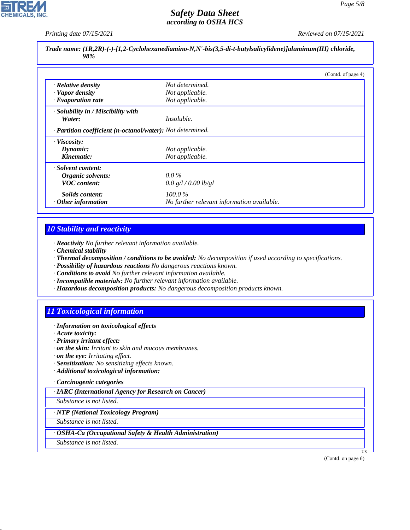*Printing date 07/15/2021 Reviewed on 07/15/2021*

*Trade name: (1R,2R)-(-)-[1,2-Cyclohexanediamino-N,N'-bis(3,5-di-t-butylsalicylidene)]aluminum(III) chloride, 98%*

|                                                            |                                            | (Contd. of page 4) |
|------------------------------------------------------------|--------------------------------------------|--------------------|
| · Relative density                                         | Not determined.                            |                    |
| · Vapor density                                            | Not applicable.                            |                    |
| $\cdot$ Evaporation rate                                   | Not applicable.                            |                    |
| $\cdot$ Solubility in / Miscibility with                   |                                            |                    |
| Water:                                                     | <i>Insoluble.</i>                          |                    |
| · Partition coefficient (n-octanol/water): Not determined. |                                            |                    |
| $\cdot$ Viscosity:                                         |                                            |                    |
| Dynamic:                                                   | Not applicable.                            |                    |
| Kinematic:                                                 | Not applicable.                            |                    |
| · Solvent content:                                         |                                            |                    |
| Organic solvents:                                          | $0.0\%$                                    |                    |
| <b>VOC</b> content:                                        | 0.0 g/l / 0.00 lb/gl                       |                    |
| <i>Solids content:</i>                                     | $100.0\%$                                  |                    |
| $\cdot$ Other information                                  | No further relevant information available. |                    |

# *10 Stability and reactivity*

- *· Reactivity No further relevant information available.*
- *· Chemical stability*
- *· Thermal decomposition / conditions to be avoided: No decomposition if used according to specifications.*
- *· Possibility of hazardous reactions No dangerous reactions known.*
- *· Conditions to avoid No further relevant information available.*
- *· Incompatible materials: No further relevant information available.*
- *· Hazardous decomposition products: No dangerous decomposition products known.*

# *11 Toxicological information*

- *· Information on toxicological effects*
- *· Acute toxicity:*
- *· Primary irritant effect:*
- *· on the skin: Irritant to skin and mucous membranes.*
- *· on the eye: Irritating effect.*
- *· Sensitization: No sensitizing effects known.*
- *· Additional toxicological information:*
- *· Carcinogenic categories*

*· IARC (International Agency for Research on Cancer)*

*Substance is not listed.*

*· NTP (National Toxicology Program)*

*Substance is not listed.*

*· OSHA-Ca (Occupational Safety & Health Administration)*

*Substance is not listed.*

44.1.1

(Contd. on page 6)

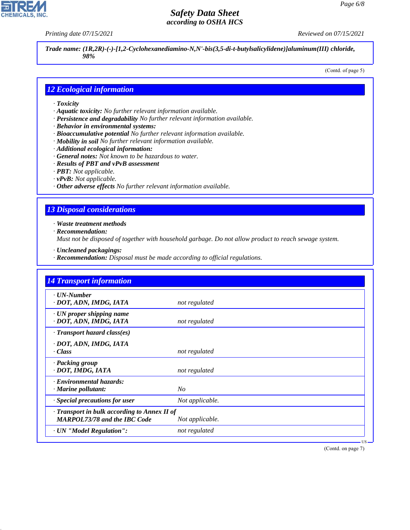**CHEMICALS, INC** 

*Printing date 07/15/2021 Reviewed on 07/15/2021*

*Trade name: (1R,2R)-(-)-[1,2-Cyclohexanediamino-N,N'-bis(3,5-di-t-butylsalicylidene)]aluminum(III) chloride, 98%*

(Contd. of page 5)

#### *12 Ecological information*

- *· Toxicity*
- *· Aquatic toxicity: No further relevant information available.*
- *· Persistence and degradability No further relevant information available.*
- *· Behavior in environmental systems:*
- *· Bioaccumulative potential No further relevant information available.*
- *· Mobility in soil No further relevant information available.*
- *· Additional ecological information:*
- *· General notes: Not known to be hazardous to water.*
- *· Results of PBT and vPvB assessment*
- *· PBT: Not applicable.*
- *· vPvB: Not applicable.*
- *· Other adverse effects No further relevant information available.*

### *13 Disposal considerations*

*· Waste treatment methods*

*· Recommendation:*

44.1.1

*Must not be disposed of together with household garbage. Do not allow product to reach sewage system.*

- *· Uncleaned packagings:*
- *· Recommendation: Disposal must be made according to official regulations.*

| <b>14 Transport information</b>                                                     |                 |
|-------------------------------------------------------------------------------------|-----------------|
| $\cdot$ UN-Number<br>· DOT, ADN, IMDG, IATA                                         | not regulated   |
| $\cdot$ UN proper shipping name<br>· DOT, ADN, IMDG, IATA                           | not regulated   |
| · Transport hazard class(es)                                                        |                 |
| · DOT, ADN, IMDG, IATA<br>· Class                                                   | not regulated   |
| · Packing group<br>· DOT, IMDG, IATA                                                | not regulated   |
| · Environmental hazards:<br>$\cdot$ Marine pollutant:                               | N <sub>O</sub>  |
| · Special precautions for user                                                      | Not applicable. |
| · Transport in bulk according to Annex II of<br><b>MARPOL73/78 and the IBC Code</b> | Not applicable. |
| · UN "Model Regulation":                                                            | not regulated   |

(Contd. on page 7)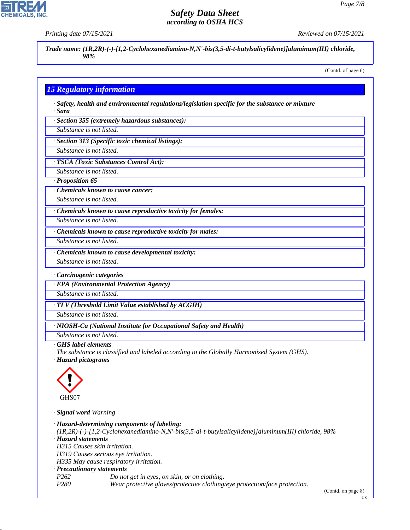**CHEMICALS** 

*Printing date 07/15/2021 Reviewed on 07/15/2021*

*Trade name: (1R,2R)-(-)-[1,2-Cyclohexanediamino-N,N'-bis(3,5-di-t-butylsalicylidene)]aluminum(III) chloride, 98%*

(Contd. of page 6)

#### *15 Regulatory information*

*· Safety, health and environmental regulations/legislation specific for the substance or mixture · Sara*

*· Section 355 (extremely hazardous substances):*

*Substance is not listed.*

*· Section 313 (Specific toxic chemical listings):*

*Substance is not listed.*

*· TSCA (Toxic Substances Control Act):*

*Substance is not listed.*

*· Proposition 65*

*· Chemicals known to cause cancer:*

*Substance is not listed.*

*· Chemicals known to cause reproductive toxicity for females:*

*Substance is not listed.*

*· Chemicals known to cause reproductive toxicity for males:*

*· Chemicals known to cause developmental toxicity:*

*Substance is not listed.*

*Substance is not listed.*

*· Carcinogenic categories*

*· EPA (Environmental Protection Agency)*

*Substance is not listed.*

*· TLV (Threshold Limit Value established by ACGIH)*

*Substance is not listed.*

*· NIOSH-Ca (National Institute for Occupational Safety and Health)*

*Substance is not listed.*

#### *· GHS label elements*

*The substance is classified and labeled according to the Globally Harmonized System (GHS).*

*· Hazard pictograms*



44.1.1

*· Signal word Warning*

*· Hazard-determining components of labeling: (1R,2R)-(-)-[1,2-Cyclohexanediamino-N,N'-bis(3,5-di-t-butylsalicylidene)]aluminum(III) chloride, 98% · Hazard statements H315 Causes skin irritation. H319 Causes serious eye irritation. H335 May cause respiratory irritation. · Precautionary statements P262 Do not get in eyes, on skin, or on clothing. P280 Wear protective gloves/protective clothing/eye protection/face protection.*